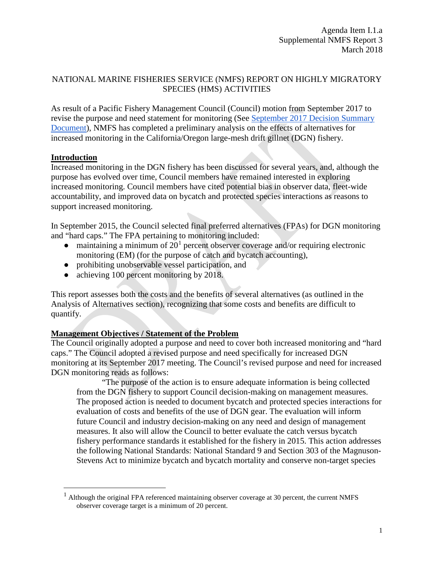### NATIONAL MARINE FISHERIES SERVICE (NMFS) REPORT ON HIGHLY MIGRATORY SPECIES (HMS) ACTIVITIES

As result of a Pacific Fishery Management Council (Council) motion from September 2017 to revise the purpose and need statement for monitoring (See [September 2017 Decision Summary](http://www.pcouncil.org/wp-content/uploads/2017/09/0917decisions.pdf)  [Document\)](http://www.pcouncil.org/wp-content/uploads/2017/09/0917decisions.pdf), NMFS has completed a preliminary analysis on the effects of alternatives for increased monitoring in the California/Oregon large-mesh drift gillnet (DGN) fishery.

### **Introduction**

Increased monitoring in the DGN fishery has been discussed for several years, and, although the purpose has evolved over time, Council members have remained interested in exploring increased monitoring. Council members have cited potential bias in observer data, fleet-wide accountability, and improved data on bycatch and protected species interactions as reasons to support increased monitoring.

In September 2015, the Council selected final preferred alternatives (FPAs) for DGN monitoring and "hard caps." The FPA pertaining to monitoring included:

- maintaining a minimum of  $20<sup>1</sup>$  $20<sup>1</sup>$  $20<sup>1</sup>$  percent observer coverage and/or requiring electronic monitoring (EM) (for the purpose of catch and bycatch accounting),
- prohibiting unobservable vessel participation, and
- achieving 100 percent monitoring by 2018.

This report assesses both the costs and the benefits of several alternatives (as outlined in the Analysis of Alternatives section), recognizing that some costs and benefits are difficult to quantify.

### **Management Objectives / Statement of the Problem**

The Council originally adopted a purpose and need to cover both increased monitoring and "hard caps." The Council adopted a revised purpose and need specifically for increased DGN monitoring at its September 2017 meeting. The Council's revised purpose and need for increased DGN monitoring reads as follows:

"The purpose of the action is to ensure adequate information is being collected from the DGN fishery to support Council decision-making on management measures. The proposed action is needed to document bycatch and protected species interactions for evaluation of costs and benefits of the use of DGN gear. The evaluation will inform future Council and industry decision-making on any need and design of management measures. It also will allow the Council to better evaluate the catch versus bycatch fishery performance standards it established for the fishery in 2015. This action addresses the following National Standards: National Standard 9 and Section 303 of the Magnuson-Stevens Act to minimize bycatch and bycatch mortality and conserve non-target species

<span id="page-0-0"></span> $<sup>1</sup>$  Although the original FPA referenced maintaining observer coverage at 30 percent, the current NMFS</sup> observer coverage target is a minimum of 20 percent.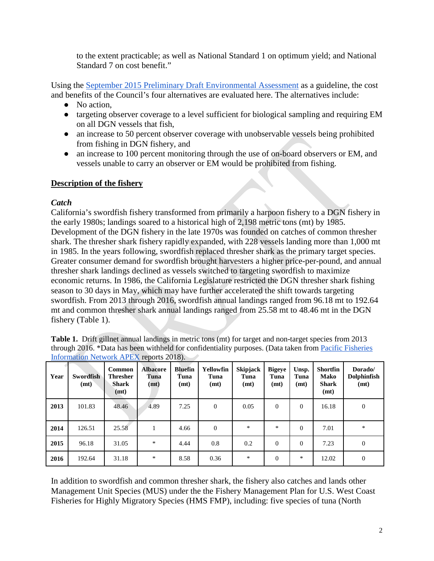to the extent practicable; as well as National Standard 1 on optimum yield; and National Standard 7 on cost benefit."

Using the [September 2015 Preliminary Draft Environmental Assessment](http://www.pcouncil.org/wp-content/uploads/2015/08/G2a_NMFS_Rpt1_DGN_draftEA_and_metrics_SEPT2015BB.pdf) as a guideline, the cost and benefits of the Council's four alternatives are evaluated here. The alternatives include:

- No action.
- targeting observer coverage to a level sufficient for biological sampling and requiring EM on all DGN vessels that fish,
- an increase to 50 percent observer coverage with unobservable vessels being prohibited from fishing in DGN fishery, and
- an increase to 100 percent monitoring through the use of on-board observers or EM, and vessels unable to carry an observer or EM would be prohibited from fishing.

# **Description of the fishery**

## *Catch*

California's swordfish fishery transformed from primarily a harpoon fishery to a DGN fishery in the early 1980s; landings soared to a historical high of 2,198 metric tons (mt) by 1985. Development of the DGN fishery in the late 1970s was founded on catches of common thresher shark. The thresher shark fishery rapidly expanded, with 228 vessels landing more than 1,000 mt in 1985. In the years following, swordfish replaced thresher shark as the primary target species. Greater consumer demand for swordfish brought harvesters a higher price-per-pound, and annual thresher shark landings declined as vessels switched to targeting swordfish to maximize economic returns. In 1986, the California Legislature restricted the DGN thresher shark fishing season to 30 days in May, which may have further accelerated the shift towards targeting swordfish. From 2013 through 2016, swordfish annual landings ranged from 96.18 mt to 192.64 mt and common thresher shark annual landings ranged from 25.58 mt to 48.46 mt in the DGN fishery (Table 1).

| <b>Table 1.</b> Drift gillnet annual landings in metric tons (mt) for target and non-target species from 2013 |
|---------------------------------------------------------------------------------------------------------------|
| through 2016. *Data has been withheld for confidentiality purposes. (Data taken from Pacific Fisheries        |
| Information Network APEX reports 2018).                                                                       |

| Year | <b>Swordfish</b><br>(mt) | Common<br><b>Thresher</b><br>Shark<br>(mt) | <b>Albacore</b><br>Tuna<br>(mt) | <b>Bluefin</b><br>Tuna<br>(mt) | Yellowfin<br>Tuna<br>(mt) | Skipjack<br>Tuna<br>(mt) | <b>Bigeye</b><br>Tuna<br>(mt) | Unsp.<br>Tuna<br>(mt) | <b>Shortfin</b><br><b>Mako</b><br><b>Shark</b><br>(mt) | Dorado/<br>Dolphinfish<br>(mt) |
|------|--------------------------|--------------------------------------------|---------------------------------|--------------------------------|---------------------------|--------------------------|-------------------------------|-----------------------|--------------------------------------------------------|--------------------------------|
| 2013 | 101.83                   | 48.46                                      | 4.89                            | 7.25                           | $\mathbf{0}$              | 0.05                     | $\theta$                      | $\Omega$              | 16.18                                                  | $\theta$                       |
| 2014 | 126.51                   | 25.58                                      |                                 | 4.66                           | $\Omega$                  | $\ast$                   | *                             | $\Omega$              | 7.01                                                   | *                              |
| 2015 | 96.18                    | 31.05                                      | $\ast$                          | 4.44                           | 0.8                       | 0.2                      | $\Omega$                      | $\overline{0}$        | 7.23                                                   | $\theta$                       |
| 2016 | 192.64                   | 31.18                                      | $\ast$                          | 8.58                           | 0.36                      | *                        | $\Omega$                      | $\ast$                | 12.02                                                  | $\theta$                       |

In addition to swordfish and common thresher shark, the fishery also catches and lands other Management Unit Species (MUS) under the the Fishery Management Plan for U.S. West Coast Fisheries for Highly Migratory Species (HMS FMP), including: five species of tuna (North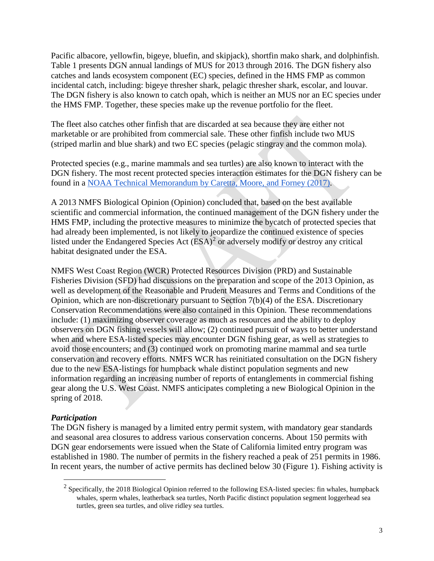Pacific albacore, yellowfin, bigeye, bluefin, and skipjack), shortfin mako shark, and dolphinfish. Table 1 presents DGN annual landings of MUS for 2013 through 2016. The DGN fishery also catches and lands ecosystem component (EC) species, defined in the HMS FMP as common incidental catch, including: bigeye thresher shark, pelagic thresher shark, escolar, and louvar. The DGN fishery is also known to catch opah, which is neither an MUS nor an EC species under the HMS FMP. Together, these species make up the revenue portfolio for the fleet.

The fleet also catches other finfish that are discarded at sea because they are either not marketable or are prohibited from commercial sale. These other finfish include two MUS (striped marlin and blue shark) and two EC species (pelagic stingray and the common mola).

Protected species (e.g., marine mammals and sea turtles) are also known to interact with the DGN fishery. The most recent protected species interaction estimates for the DGN fishery can be found in a [NOAA Technical Memorandum by Caretta, Moore, and Forney \(2017\).](https://www.pcouncil.org/wp-content/uploads/2017/02/J1b_SWFSC_Rpt_ElectricOnly_Carretta_etal_2017_RegressionTreeBycatch_Mar2017BB.pdf)

A 2013 NMFS Biological Opinion (Opinion) concluded that, based on the best available scientific and commercial information, the continued management of the DGN fishery under the HMS FMP, including the protective measures to minimize the bycatch of protected species that had already been implemented, is not likely to jeopardize the continued existence of species listed under the Endangered Species Act  $(ESA)^2$  $(ESA)^2$  or adversely modify or destroy any critical habitat designated under the ESA.

NMFS West Coast Region (WCR) Protected Resources Division (PRD) and Sustainable Fisheries Division (SFD) had discussions on the preparation and scope of the 2013 Opinion, as well as development of the Reasonable and Prudent Measures and Terms and Conditions of the Opinion, which are non-discretionary pursuant to Section 7(b)(4) of the ESA. Discretionary Conservation Recommendations were also contained in this Opinion. These recommendations include: (1) maximizing observer coverage as much as resources and the ability to deploy observers on DGN fishing vessels will allow; (2) continued pursuit of ways to better understand when and where ESA-listed species may encounter DGN fishing gear, as well as strategies to avoid those encounters; and (3) continued work on promoting marine mammal and sea turtle conservation and recovery efforts. NMFS WCR has reinitiated consultation on the DGN fishery due to the new ESA-listings for humpback whale distinct population segments and new information regarding an increasing number of reports of entanglements in commercial fishing gear along the U.S. West Coast. NMFS anticipates completing a new Biological Opinion in the spring of 2018.

### *Participation*

The DGN fishery is managed by a limited entry permit system, with mandatory gear standards and seasonal area closures to address various conservation concerns. About 150 permits with DGN gear endorsements were issued when the State of California limited entry program was established in 1980. The number of permits in the fishery reached a peak of 251 permits in 1986. In recent years, the number of active permits has declined below 30 (Figure 1). Fishing activity is

<span id="page-2-0"></span><sup>&</sup>lt;sup>2</sup> Specifically, the 2018 Biological Opinion referred to the following ESA-listed species: fin whales, humpback whales, sperm whales, leatherback sea turtles, North Pacific distinct population segment loggerhead sea turtles, green sea turtles, and olive ridley sea turtles.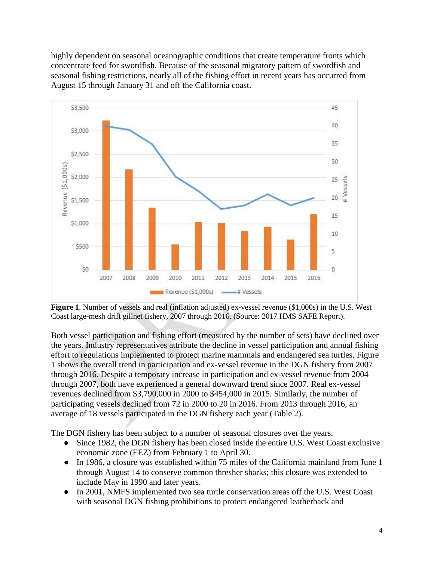highly dependent on seasonal oceanographic conditions that create temperature fronts which concentrate feed for swordfish. Because of the seasonal migratory pattern of swordfish and seasonal fishing restrictions, nearly all of the fishing effort in recent years has occurred from August 15 through January 31 and off the California coast.



**Figure 1**. Number of vessels and real (inflation adjusted) ex-vessel revenue (\$1,000s) in the U.S. West Coast large-mesh drift gillnet fishery, 2007 through 2016. (Source: 2017 HMS SAFE Report).

Both vessel participation and fishing effort (measured by the number of sets) have declined over the years. Industry representatives attribute the decline in vessel participation and annual fishing effort to regulations implemented to protect marine mammals and endangered sea turtles. Figure 1 shows the overall trend in participation and ex-vessel revenue in the DGN fishery from 2007 through 2016. Despite a temporary increase in participation and ex-vessel revenue from 2004 through 2007, both have experienced a general downward trend since 2007. Real ex-vessel revenues declined from \$3,790,000 in 2000 to \$454,000 in 2015. Similarly, the number of participating vessels declined from 72 in 2000 to 20 in 2016. From 2013 through 2016, an average of 18 vessels participated in the DGN fishery each year (Table 2).

The DGN fishery has been subject to a number of seasonal closures over the years.

- Since 1982, the DGN fishery has been closed inside the entire U.S. West Coast exclusive economic zone (EEZ) from February 1 to April 30.
- In 1986, a closure was established within 75 miles of the California mainland from June 1 through August 14 to conserve common thresher sharks; this closure was extended to include May in 1990 and later years.
- In 2001, NMFS implemented two sea turtle conservation areas off the U.S. West Coast with seasonal DGN fishing prohibitions to protect endangered leatherback and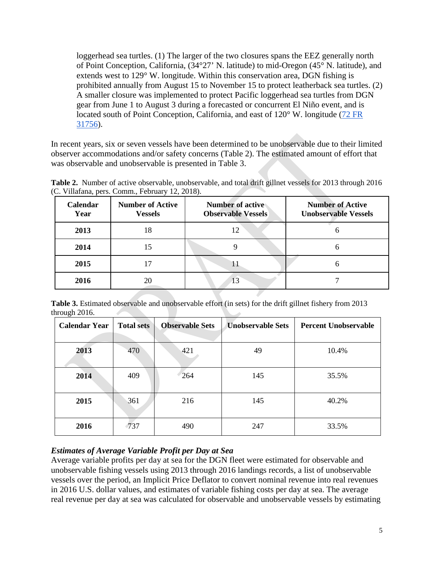loggerhead sea turtles. (1) The larger of the two closures spans the EEZ generally north of Point Conception, California, (34°27' N. latitude) to mid-Oregon (45° N. latitude), and extends west to 129° W. longitude. Within this conservation area, DGN fishing is prohibited annually from August 15 to November 15 to protect leatherback sea turtles. (2) A smaller closure was implemented to protect Pacific loggerhead sea turtles from DGN gear from June 1 to August 3 during a forecasted or concurrent El Niño event, and is located south of Point Conception, California, and east of 120° W. longitude [\(72 FR](https://www.federalregister.gov/documents/2007/06/08/E7-11124/fisheries-off-west-coast-states-highly-migratory-species-fisheries)  [31756\)](https://www.federalregister.gov/documents/2007/06/08/E7-11124/fisheries-off-west-coast-states-highly-migratory-species-fisheries).

In recent years, six or seven vessels have been determined to be unobservable due to their limited observer accommodations and/or safety concerns (Table 2). The estimated amount of effort that was observable and unobservable is presented in Table 3.

| Calendar<br>Year | <b>Number of Active</b><br><b>Vessels</b> | <b>Number</b> of active<br><b>Observable Vessels</b> | <b>Number of Active</b><br><b>Unobservable Vessels</b> |
|------------------|-------------------------------------------|------------------------------------------------------|--------------------------------------------------------|
| 2013             | 18                                        | 12                                                   |                                                        |
| 2014             |                                           |                                                      |                                                        |
| 2015             |                                           | 11                                                   |                                                        |
| 2016             |                                           | 13                                                   |                                                        |

**Table 2.** Number of active observable, unobservable, and total drift gillnet vessels for 2013 through 2016 (C. Villafana, pers. Comm., February 12, 2018).

Table 3. Estimated observable and unobservable effort (in sets) for the drift gillnet fishery from 2013 through 2016.

| ັ<br><b>Calendar Year</b> | <b>Total sets</b> | <b>Observable Sets</b> | <b>Unobservable Sets</b> | <b>Percent Unobservable</b> |
|---------------------------|-------------------|------------------------|--------------------------|-----------------------------|
| 2013                      | 470               | 421                    | 49                       | 10.4%                       |
| 2014                      | 409               | 264                    | 145                      | 35.5%                       |
| 2015                      | 361               | 216                    | 145                      | 40.2%                       |
| 2016                      | $\sqrt{737}$      | 490                    | 247                      | 33.5%                       |

### *Estimates of Average Variable Profit per Day at Sea*

Average variable profits per day at sea for the DGN fleet were estimated for observable and unobservable fishing vessels using 2013 through 2016 landings records, a list of unobservable vessels over the period, an Implicit Price Deflator to convert nominal revenue into real revenues in 2016 U.S. dollar values, and estimates of variable fishing costs per day at sea. The average real revenue per day at sea was calculated for observable and unobservable vessels by estimating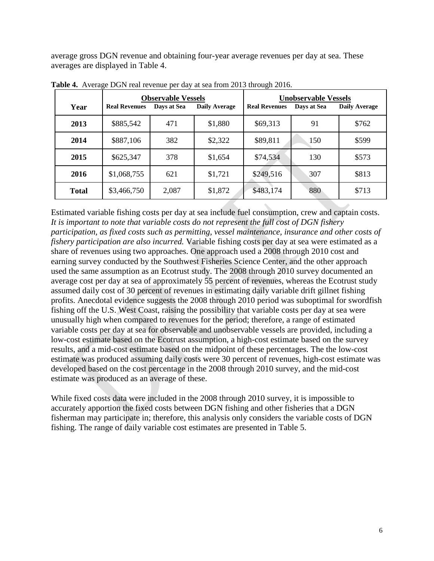average gross DGN revenue and obtaining four-year average revenues per day at sea. These averages are displayed in Table 4.

| Year         | <b>Real Revenues</b> | <b>Observable Vessels</b><br>Days at Sea | <b>Daily Average</b> | <b>Real Revenues</b> | <b>Unobservable Vessels</b><br>Days at Sea | <b>Daily Average</b> |
|--------------|----------------------|------------------------------------------|----------------------|----------------------|--------------------------------------------|----------------------|
| 2013         | \$885,542            | 471                                      | \$1,880              | \$69,313             | 91                                         | \$762                |
| 2014         | \$887,106            | 382                                      | \$2,322              | \$89,811             | 150                                        | \$599                |
| 2015         | \$625,347            | 378                                      | \$1,654              | \$74,534             | 130                                        | \$573                |
| 2016         | \$1,068,755          | 621                                      | \$1,721              | \$249,516            | 307                                        | \$813                |
| <b>Total</b> | \$3,466,750          | 2,087                                    | \$1,872              | \$483,174            | 880                                        | \$713                |

**Table 4.** Average DGN real revenue per day at sea from 2013 through 2016.

Estimated variable fishing costs per day at sea include fuel consumption, crew and captain costs. *It is important to note that variable costs do not represent the full cost of DGN fishery participation, as fixed costs such as permitting, vessel maintenance, insurance and other costs of fishery participation are also incurred.* Variable fishing costs per day at sea were estimated as a share of revenues using two approaches. One approach used a 2008 through 2010 cost and earning survey conducted by the Southwest Fisheries Science Center, and the other approach used the same assumption as an Ecotrust study. The 2008 through 2010 survey documented an average cost per day at sea of approximately 55 percent of revenues, whereas the Ecotrust study assumed daily cost of 30 percent of revenues in estimating daily variable drift gillnet fishing profits. Anecdotal evidence suggests the 2008 through 2010 period was suboptimal for swordfish fishing off the U.S. West Coast, raising the possibility that variable costs per day at sea were unusually high when compared to revenues for the period; therefore, a range of estimated variable costs per day at sea for observable and unobservable vessels are provided, including a low-cost estimate based on the Ecotrust assumption, a high-cost estimate based on the survey results, and a mid-cost estimate based on the midpoint of these percentages. The the low-cost estimate was produced assuming daily costs were 30 percent of revenues, high-cost estimate was developed based on the cost percentage in the 2008 through 2010 survey, and the mid-cost estimate was produced as an average of these.

While fixed costs data were included in the 2008 through 2010 survey, it is impossible to accurately apportion the fixed costs between DGN fishing and other fisheries that a DGN fisherman may participate in; therefore, this analysis only considers the variable costs of DGN fishing. The range of daily variable cost estimates are presented in Table 5.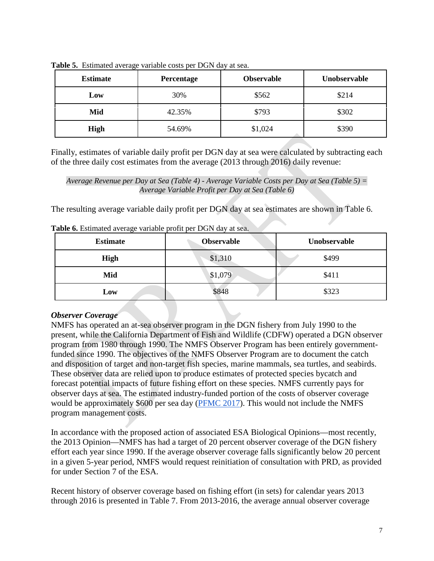| <b>Estimate</b><br>Percentage |        | <b>Observable</b> | Unobservable |
|-------------------------------|--------|-------------------|--------------|
| Low                           | 30%    | \$562             | \$214        |
| 42.35%<br>Mid                 |        | \$793             | \$302        |
| High                          | 54.69% | \$1,024           | \$390        |

**Table 5.** Estimated average variable costs per DGN day at sea.

Finally, estimates of variable daily profit per DGN day at sea were calculated by subtracting each of the three daily cost estimates from the average (2013 through 2016) daily revenue:

*Average Revenue per Day at Sea (Table 4) - Average Variable Costs per Day at Sea (Table 5) = Average Variable Profit per Day at Sea (Table 6)*

The resulting average variable daily profit per DGN day at sea estimates are shown in Table 6.

| <b>Estimate</b> | <b>Observable</b> | Unobservable |  |  |
|-----------------|-------------------|--------------|--|--|
| High            | \$1,310           | \$499        |  |  |
| Mid             | \$1,079           | \$411        |  |  |
| Low             | \$848             | \$323        |  |  |

**Table 6.** Estimated average variable profit per DGN day at sea.

### *Observer Coverage*

NMFS has operated an at-sea observer program in the DGN fishery from July 1990 to the present, while the California Department of Fish and Wildlife (CDFW) operated a DGN observer program from 1980 through 1990. The NMFS Observer Program has been entirely governmentfunded since 1990. The objectives of the NMFS Observer Program are to document the catch and disposition of target and non-target fish species, marine mammals, sea turtles, and seabirds. These observer data are relied upon to produce estimates of protected species bycatch and forecast potential impacts of future fishing effort on these species. NMFS currently pays for observer days at sea. The estimated industry-funded portion of the costs of observer coverage would be approximately \$600 per sea day [\(PFMC 2017\)](http://www.pcouncil.org/wp-content/uploads/2017/09/J2a_Sup_NMFS_Rpt1_With2Attachments_SEPT2017BB.pdf). This would not include the NMFS program management costs.

In accordance with the proposed action of associated ESA Biological Opinions—most recently, the 2013 Opinion—NMFS has had a target of 20 percent observer coverage of the DGN fishery effort each year since 1990. If the average observer coverage falls significantly below 20 percent in a given 5-year period, NMFS would request reinitiation of consultation with PRD, as provided for under Section 7 of the ESA.

Recent history of observer coverage based on fishing effort (in sets) for calendar years 2013 through 2016 is presented in Table 7. From 2013-2016, the average annual observer coverage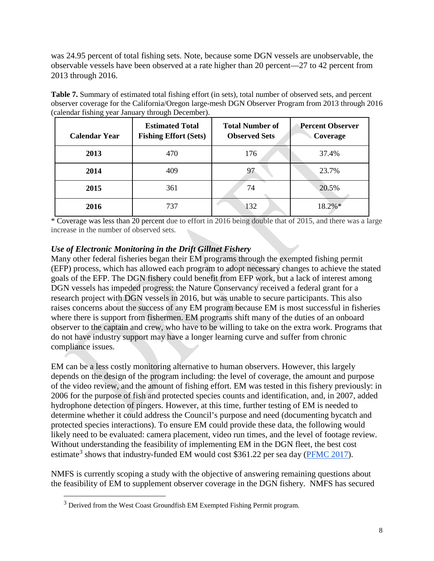was 24.95 percent of total fishing sets. Note, because some DGN vessels are unobservable, the observable vessels have been observed at a rate higher than 20 percent—27 to 42 percent from 2013 through 2016.

**Table 7.** Summary of estimated total fishing effort (in sets), total number of observed sets, and percent observer coverage for the California/Oregon large-mesh DGN Observer Program from 2013 through 2016 (calendar fishing year January through December).

| <b>Calendar Year</b> | <b>Estimated Total</b><br><b>Fishing Effort (Sets)</b> | <b>Total Number of</b><br><b>Observed Sets</b> | <b>Percent Observer</b><br>Coverage |
|----------------------|--------------------------------------------------------|------------------------------------------------|-------------------------------------|
| 2013                 | 470                                                    | 176                                            | 37.4%                               |
| 2014                 | 409                                                    | 97                                             | 23.7%                               |
| 2015                 | 361                                                    | 74                                             | 20.5%                               |
| 2016                 | 737                                                    | 132                                            | 18.2%*                              |

\* Coverage was less than 20 percent due to effort in 2016 being double that of 2015, and there was a large increase in the number of observed sets.

# *Use of Electronic Monitoring in the Drift Gillnet Fishery*

Many other federal fisheries began their EM programs through the exempted fishing permit (EFP) process, which has allowed each program to adopt necessary changes to achieve the stated goals of the EFP. The DGN fishery could benefit from EFP work, but a lack of interest among DGN vessels has impeded progress: the Nature Conservancy received a federal grant for a research project with DGN vessels in 2016, but was unable to secure participants. This also raises concerns about the success of any EM program because EM is most successful in fisheries where there is support from fishermen. EM programs shift many of the duties of an onboard observer to the captain and crew, who have to be willing to take on the extra work. Programs that do not have industry support may have a longer learning curve and suffer from chronic compliance issues.

EM can be a less costly monitoring alternative to human observers. However, this largely depends on the design of the program including: the level of coverage, the amount and purpose of the video review, and the amount of fishing effort. EM was tested in this fishery previously: in 2006 for the purpose of fish and protected species counts and identification, and, in 2007, added hydrophone detection of pingers. However, at this time, further testing of EM is needed to determine whether it could address the Council's purpose and need (documenting bycatch and protected species interactions). To ensure EM could provide these data, the following would likely need to be evaluated: camera placement, video run times, and the level of footage review. Without understanding the feasibility of implementing EM in the DGN fleet, the best cost estimate<sup>[3](#page-7-0)</sup> shows that industry-funded EM would cost \$361.22 per sea day [\(PFMC 2017\)](http://www.pcouncil.org/wp-content/uploads/2017/09/J2a_Sup_NMFS_Rpt1_With2Attachments_SEPT2017BB.pdf).

<span id="page-7-0"></span>NMFS is currently scoping a study with the objective of answering remaining questions about the feasibility of EM to supplement observer coverage in the DGN fishery. NMFS has secured

 <sup>3</sup> Derived from the West Coast Groundfish EM Exempted Fishing Permit program.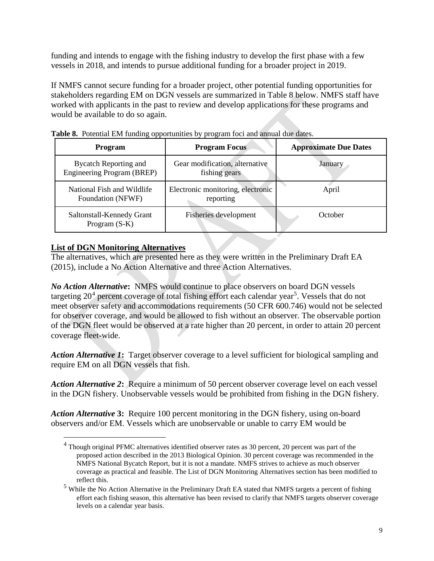funding and intends to engage with the fishing industry to develop the first phase with a few vessels in 2018, and intends to pursue additional funding for a broader project in 2019.

If NMFS cannot secure funding for a broader project, other potential funding opportunities for stakeholders regarding EM on DGN vessels are summarized in Table 8 below. NMFS staff have worked with applicants in the past to review and develop applications for these programs and would be available to do so again.

| <b>Program</b>                                             | <b>Program Focus</b>                            | <b>Approximate Due Dates</b> |
|------------------------------------------------------------|-------------------------------------------------|------------------------------|
| <b>Bycatch Reporting and</b><br>Engineering Program (BREP) | Gear modification, alternative<br>fishing gears | January                      |
| National Fish and Wildlife<br>Foundation (NFWF)            | Electronic monitoring, electronic<br>reporting  | April                        |
| Saltonstall-Kennedy Grant<br>Program $(S-K)$               | Fisheries development                           | October                      |

**Table 8.** Potential EM funding opportunities by program foci and annual due dates.

# **List of DGN Monitoring Alternatives**

The alternatives, which are presented here as they were written in the Preliminary Draft EA (2015), include a No Action Alternative and three Action Alternatives.

*No Action Alternative***:** NMFS would continue to place observers on board DGN vessels targeting  $20^4$  $20^4$  percent coverage of total fishing effort each calendar year<sup>[5](#page-8-1)</sup>. Vessels that do not meet observer safety and accommodations requirements (50 CFR 600.746) would not be selected for observer coverage, and would be allowed to fish without an observer. The observable portion of the DGN fleet would be observed at a rate higher than 20 percent, in order to attain 20 percent coverage fleet-wide.

*Action Alternative 1***:** Target observer coverage to a level sufficient for biological sampling and require EM on all DGN vessels that fish.

*Action Alternative 2***:** Require a minimum of 50 percent observer coverage level on each vessel in the DGN fishery. Unobservable vessels would be prohibited from fishing in the DGN fishery.

<span id="page-8-0"></span>*Action Alternative* **3:** Require 100 percent monitoring in the DGN fishery, using on-board observers and/or EM. Vessels which are unobservable or unable to carry EM would be

<sup>&</sup>lt;sup>4</sup> Though original PFMC alternatives identified observer rates as 30 percent, 20 percent was part of the proposed action described in the 2013 Biological Opinion. 30 percent coverage was recommended in the NMFS National Bycatch Report, but it is not a mandate. NMFS strives to achieve as much observer coverage as practical and feasible. The List of DGN Monitoring Alternatives section has been modified to reflect this.

<span id="page-8-1"></span><sup>&</sup>lt;sup>5</sup> While the No Action Alternative in the Preliminary Draft EA stated that NMFS targets a percent of fishing effort each fishing season, this alternative has been revised to clarify that NMFS targets observer coverage levels on a calendar year basis.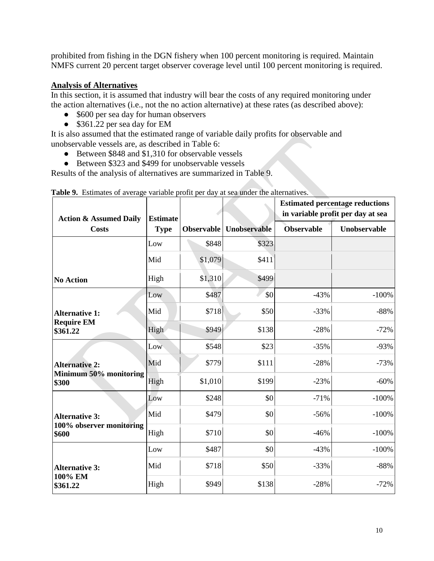prohibited from fishing in the DGN fishery when 100 percent monitoring is required. Maintain NMFS current 20 percent target observer coverage level until 100 percent monitoring is required.

# **Analysis of Alternatives**

In this section, it is assumed that industry will bear the costs of any required monitoring under the action alternatives (i.e., not the no action alternative) at these rates (as described above):

- \$600 per sea day for human observers
- \$361.22 per sea day for EM

It is also assumed that the estimated range of variable daily profits for observable and unobservable vessels are, as described in Table 6:

- Between \$848 and \$1,310 for observable vessels
- Between \$323 and \$499 for unobservable vessels

Results of the analysis of alternatives are summarized in Table 9.

| <b>Action &amp; Assumed Daily</b> | <b>Estimate</b> |                   |              |                   | <b>Estimated percentage reductions</b><br>in variable profit per day at sea |
|-----------------------------------|-----------------|-------------------|--------------|-------------------|-----------------------------------------------------------------------------|
| <b>Costs</b>                      | <b>Type</b>     | <b>Observable</b> | Unobservable | <b>Observable</b> | Unobservable                                                                |
|                                   | Low             | \$848             | \$323        |                   |                                                                             |
|                                   | Mid             | \$1,079           | \$411        |                   |                                                                             |
| <b>No Action</b>                  | High            | \$1,310           | \$499        |                   |                                                                             |
|                                   | Low             | \$487             | \$0          | $-43%$            | $-100%$                                                                     |
| <b>Alternative 1:</b>             | Mid             | \$718             | \$50         | $-33%$            | $-88%$                                                                      |
| <b>Require EM</b><br>\$361.22     | High            | \$949             | \$138        | $-28%$            | $-72%$                                                                      |
|                                   | Low             | \$548             | \$23         | $-35%$            | $-93%$                                                                      |
| <b>Alternative 2:</b>             | Mid             | \$779             | \$111        | $-28%$            | $-73%$                                                                      |
| Minimum 50% monitoring<br>\$300   | High            | \$1,010           | \$199        | $-23%$            | $-60%$                                                                      |
|                                   | Low             | \$248             | \$0          | $-71%$            | $-100%$                                                                     |
| <b>Alternative 3:</b>             | Mid             | \$479             | \$0          | $-56%$            | $-100%$                                                                     |
| 100% observer monitoring<br>\$600 | High            | \$710             | \$0          | $-46%$            | $-100%$                                                                     |
|                                   | Low             | \$487             | \$0          | $-43%$            | $-100%$                                                                     |
| <b>Alternative 3:</b>             | Mid             | \$718             | \$50         | $-33%$            | $-88%$                                                                      |
| 100% EM<br>\$361.22               | High            | \$949             | \$138        | $-28%$            | $-72%$                                                                      |

|  |  |  | Table 9. Estimates of average variable profit per day at sea under the alternatives. |
|--|--|--|--------------------------------------------------------------------------------------|
|  |  |  |                                                                                      |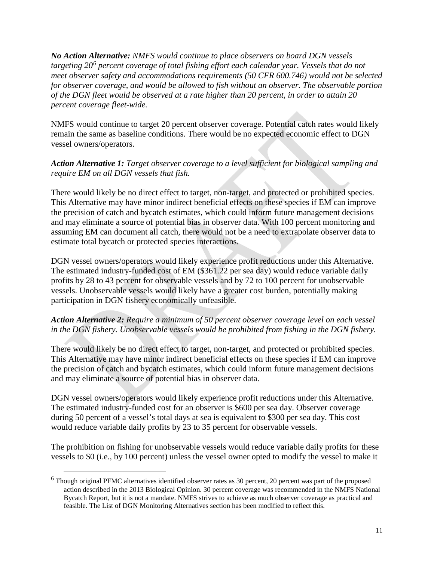*No Action Alternative: NMFS would continue to place observers on board DGN vessels targeting 20[6](#page-10-0) percent coverage of total fishing effort each calendar year. Vessels that do not meet observer safety and accommodations requirements (50 CFR 600.746) would not be selected for observer coverage, and would be allowed to fish without an observer. The observable portion of the DGN fleet would be observed at a rate higher than 20 percent, in order to attain 20 percent coverage fleet-wide.*

NMFS would continue to target 20 percent observer coverage. Potential catch rates would likely remain the same as baseline conditions. There would be no expected economic effect to DGN vessel owners/operators.

### *Action Alternative 1: Target observer coverage to a level sufficient for biological sampling and require EM on all DGN vessels that fish.*

There would likely be no direct effect to target, non-target, and protected or prohibited species. This Alternative may have minor indirect beneficial effects on these species if EM can improve the precision of catch and bycatch estimates, which could inform future management decisions and may eliminate a source of potential bias in observer data. With 100 percent monitoring and assuming EM can document all catch, there would not be a need to extrapolate observer data to estimate total bycatch or protected species interactions.

DGN vessel owners/operators would likely experience profit reductions under this Alternative. The estimated industry-funded cost of EM (\$361.22 per sea day) would reduce variable daily profits by 28 to 43 percent for observable vessels and by 72 to 100 percent for unobservable vessels. Unobservable vessels would likely have a greater cost burden, potentially making participation in DGN fishery economically unfeasible.

### *Action Alternative 2: Require a minimum of 50 percent observer coverage level on each vessel in the DGN fishery. Unobservable vessels would be prohibited from fishing in the DGN fishery.*

There would likely be no direct effect to target, non-target, and protected or prohibited species. This Alternative may have minor indirect beneficial effects on these species if EM can improve the precision of catch and bycatch estimates, which could inform future management decisions and may eliminate a source of potential bias in observer data.

DGN vessel owners/operators would likely experience profit reductions under this Alternative. The estimated industry-funded cost for an observer is \$600 per sea day. Observer coverage during 50 percent of a vessel's total days at sea is equivalent to \$300 per sea day. This cost would reduce variable daily profits by 23 to 35 percent for observable vessels.

The prohibition on fishing for unobservable vessels would reduce variable daily profits for these vessels to \$0 (i.e., by 100 percent) unless the vessel owner opted to modify the vessel to make it

<span id="page-10-0"></span> $6$  Though original PFMC alternatives identified observer rates as 30 percent, 20 percent was part of the proposed action described in the 2013 Biological Opinion. 30 percent coverage was recommended in the NMFS National Bycatch Report, but it is not a mandate. NMFS strives to achieve as much observer coverage as practical and feasible. The List of DGN Monitoring Alternatives section has been modified to reflect this.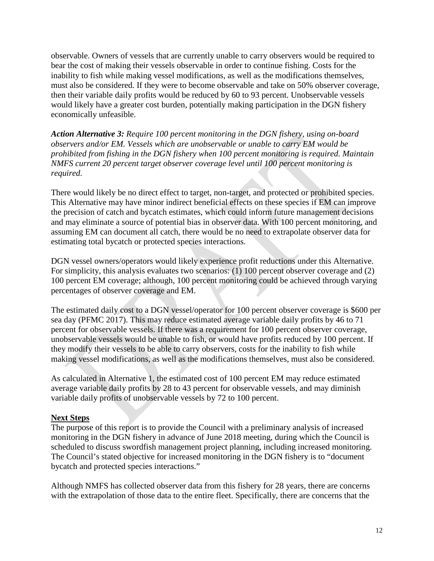observable. Owners of vessels that are currently unable to carry observers would be required to bear the cost of making their vessels observable in order to continue fishing. Costs for the inability to fish while making vessel modifications, as well as the modifications themselves, must also be considered. If they were to become observable and take on 50% observer coverage, then their variable daily profits would be reduced by 60 to 93 percent. Unobservable vessels would likely have a greater cost burden, potentially making participation in the DGN fishery economically unfeasible.

*Action Alternative 3: Require 100 percent monitoring in the DGN fishery, using on-board observers and/or EM. Vessels which are unobservable or unable to carry EM would be prohibited from fishing in the DGN fishery when 100 percent monitoring is required. Maintain NMFS current 20 percent target observer coverage level until 100 percent monitoring is required.*

There would likely be no direct effect to target, non-target, and protected or prohibited species. This Alternative may have minor indirect beneficial effects on these species if EM can improve the precision of catch and bycatch estimates, which could inform future management decisions and may eliminate a source of potential bias in observer data. With 100 percent monitoring, and assuming EM can document all catch, there would be no need to extrapolate observer data for estimating total bycatch or protected species interactions.

DGN vessel owners/operators would likely experience profit reductions under this Alternative. For simplicity, this analysis evaluates two scenarios: (1) 100 percent observer coverage and (2) 100 percent EM coverage; although, 100 percent monitoring could be achieved through varying percentages of observer coverage and EM.

The estimated daily cost to a DGN vessel/operator for 100 percent observer coverage is \$600 per sea day (PFMC 2017). This may reduce estimated average variable daily profits by 46 to 71 percent for observable vessels. If there was a requirement for 100 percent observer coverage, unobservable vessels would be unable to fish, or would have profits reduced by 100 percent. If they modify their vessels to be able to carry observers, costs for the inability to fish while making vessel modifications, as well as the modifications themselves, must also be considered.

As calculated in Alternative 1, the estimated cost of 100 percent EM may reduce estimated average variable daily profits by 28 to 43 percent for observable vessels, and may diminish variable daily profits of unobservable vessels by 72 to 100 percent.

### **Next Steps**

The purpose of this report is to provide the Council with a preliminary analysis of increased monitoring in the DGN fishery in advance of June 2018 meeting, during which the Council is scheduled to discuss swordfish management project planning, including increased monitoring. The Council's stated objective for increased monitoring in the DGN fishery is to "document bycatch and protected species interactions."

Although NMFS has collected observer data from this fishery for 28 years, there are concerns with the extrapolation of those data to the entire fleet. Specifically, there are concerns that the